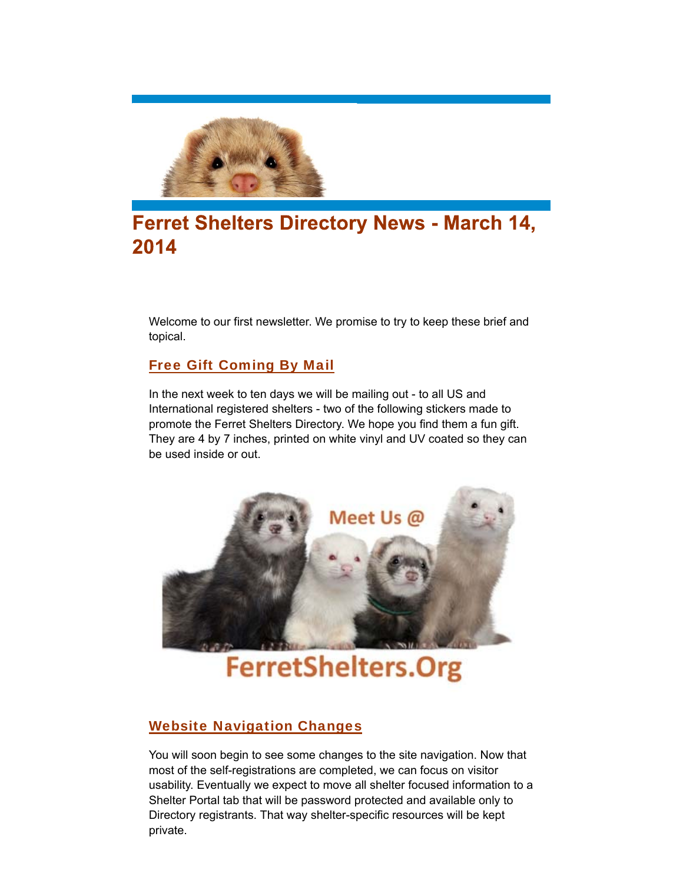

# **Ferret Shelters Directory News - March 14,** 2014

Welcome to our first newsletter. We promise to try to keep these brief and topical.

## Free Gift Coming By Mail

In the next week to ten days we will be mailing out - to all US and International registered shelters - two of the following stickers made to promote the Ferret Shelters Directory. We hope you find them a fun gift. They are 4 by 7 inches, printed on white vinyl and UV coated so they can be used inside or out.



**FerretShelters.Org** 

## Website Navigation Changes

You will soon begin to see some changes to the site navigation. Now that most of the self-registrations are completed, we can focus on visitor usability. Eventually we expect to move all shelter focused information to a Shelter Portal tab that will be password protected and available only to Directory registrants. That way shelter-specific resources will be kept private.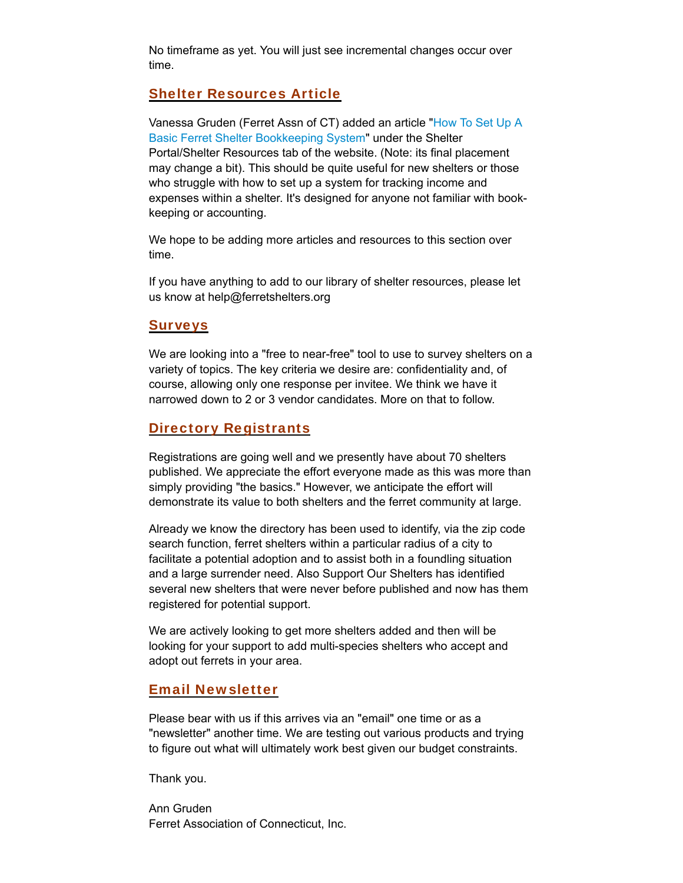No timeframe as yet. You will just see incremental changes occur over time.

### Shelter Resources Article

Vanessa Gruden (Ferret Assn of CT) added an article "How To Set Up A Basic Ferret Shelter Bookkeeping System" under the Shelter Portal/Shelter Resources tab of the website. (Note: its final placement may change a bit). This should be quite useful for new shelters or those who struggle with how to set up a system for tracking income and expenses within a shelter. It's designed for anyone not familiar with bookkeeping or accounting.

We hope to be adding more articles and resources to this section over time.

If you have anything to add to our library of shelter resources, please let us know at help@ferretshelters.org

#### Surveys

We are looking into a "free to near-free" tool to use to survey shelters on a variety of topics. The key criteria we desire are: confidentiality and, of course, allowing only one response per invitee. We think we have it narrowed down to 2 or 3 vendor candidates. More on that to follow.

#### Directory Registrants

Registrations are going well and we presently have about 70 shelters published. We appreciate the effort everyone made as this was more than simply providing "the basics." However, we anticipate the effort will demonstrate its value to both shelters and the ferret community at large.

Already we know the directory has been used to identify, via the zip code search function, ferret shelters within a particular radius of a city to facilitate a potential adoption and to assist both in a foundling situation and a large surrender need. Also Support Our Shelters has identified several new shelters that were never before published and now has them registered for potential support.

We are actively looking to get more shelters added and then will be looking for your support to add multi-species shelters who accept and adopt out ferrets in your area.

### Email Newsletter

Please bear with us if this arrives via an "email" one time or as a "newsletter" another time. We are testing out various products and trying to figure out what will ultimately work best given our budget constraints.

Thank you.

Ann Gruden Ferret Association of Connecticut, Inc.